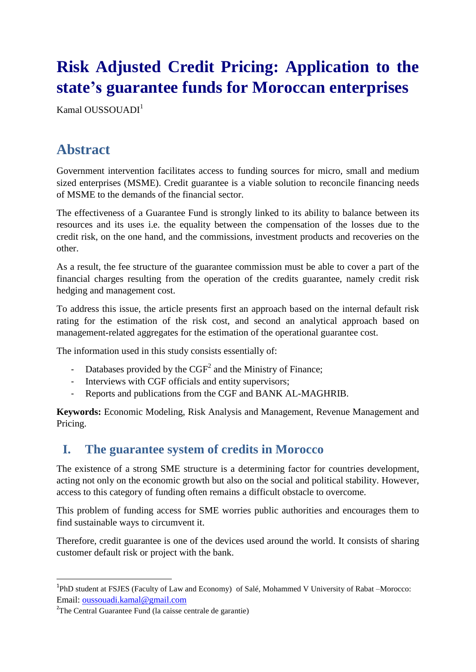# **Risk Adjusted Credit Pricing: Application to the state's guarantee funds for Moroccan enterprises**

Kamal OUSSOUADI<sup>1</sup>

# **Abstract**

Government intervention facilitates access to funding sources for micro, small and medium sized enterprises (MSME). Credit guarantee is a viable solution to reconcile financing needs of MSME to the demands of the financial sector.

The effectiveness of a Guarantee Fund is strongly linked to its ability to balance between its resources and its uses i.e. the equality between the compensation of the losses due to the credit risk, on the one hand, and the commissions, investment products and recoveries on the other.

As a result, the fee structure of the guarantee commission must be able to cover a part of the financial charges resulting from the operation of the credits guarantee, namely credit risk hedging and management cost.

To address this issue, the article presents first an approach based on the internal default risk rating for the estimation of the risk cost, and second an analytical approach based on management-related aggregates for the estimation of the operational guarantee cost.

The information used in this study consists essentially of:

- Databases provided by the  $CGF<sup>2</sup>$  and the Ministry of Finance;
- Interviews with CGF officials and entity supervisors;
- Reports and publications from the CGF and BANK AL-MAGHRIB.

**Keywords:** Economic Modeling, Risk Analysis and Management, Revenue Management and Pricing.

#### **I. The guarantee system of credits in Morocco**

The existence of a strong SME structure is a determining factor for countries development, acting not only on the economic growth but also on the social and political stability. However, access to this category of funding often remains a difficult obstacle to overcome.

This problem of funding access for SME worries public authorities and encourages them to find sustainable ways to circumvent it.

Therefore, credit guarantee is one of the devices used around the world. It consists of sharing customer default risk or project with the bank.

1

<sup>&</sup>lt;sup>1</sup>PhD student at FSJES (Faculty of Law and Economy) of Salé, Mohammed V University of Rabat -Morocco: Email: [oussouadi.kamal@gmail.com](mailto:oussouadi.kamal@gmail.com)

<sup>&</sup>lt;sup>2</sup>The Central Guarantee Fund (la caisse centrale de garantie)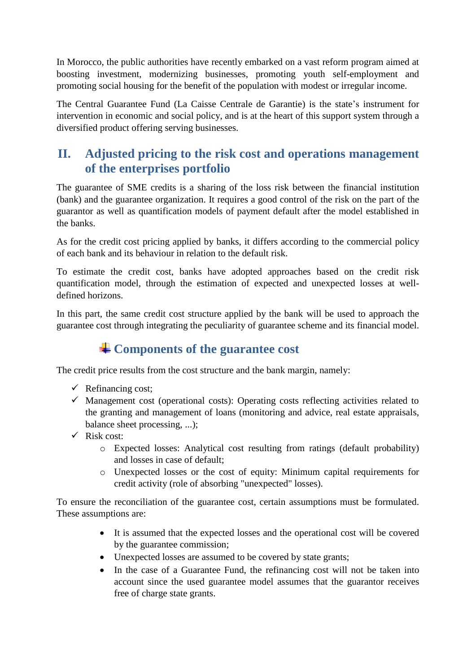In Morocco, the public authorities have recently embarked on a vast reform program aimed at boosting investment, modernizing businesses, promoting youth self-employment and promoting social housing for the benefit of the population with modest or irregular income.

The Central Guarantee Fund (La Caisse Centrale de Garantie) is the state's instrument for intervention in economic and social policy, and is at the heart of this support system through a diversified product offering serving businesses.

### **II. Adjusted pricing to the risk cost and operations management of the enterprises portfolio**

The guarantee of SME credits is a sharing of the loss risk between the financial institution (bank) and the guarantee organization. It requires a good control of the risk on the part of the guarantor as well as quantification models of payment default after the model established in the banks.

As for the credit cost pricing applied by banks, it differs according to the commercial policy of each bank and its behaviour in relation to the default risk.

To estimate the credit cost, banks have adopted approaches based on the credit risk quantification model, through the estimation of expected and unexpected losses at welldefined horizons.

In this part, the same credit cost structure applied by the bank will be used to approach the guarantee cost through integrating the peculiarity of guarantee scheme and its financial model.

## **Components of the guarantee cost**

The credit price results from the cost structure and the bank margin, namely:

- $\checkmark$  Refinancing cost;
- $\checkmark$  Management cost (operational costs): Operating costs reflecting activities related to the granting and management of loans (monitoring and advice, real estate appraisals, balance sheet processing, ...);
- $\checkmark$  Risk cost:
	- o Expected losses: Analytical cost resulting from ratings (default probability) and losses in case of default;
	- o Unexpected losses or the cost of equity: Minimum capital requirements for credit activity (role of absorbing "unexpected" losses).

To ensure the reconciliation of the guarantee cost, certain assumptions must be formulated. These assumptions are:

- It is assumed that the expected losses and the operational cost will be covered by the guarantee commission;
- Unexpected losses are assumed to be covered by state grants;
- In the case of a Guarantee Fund, the refinancing cost will not be taken into account since the used guarantee model assumes that the guarantor receives free of charge state grants.